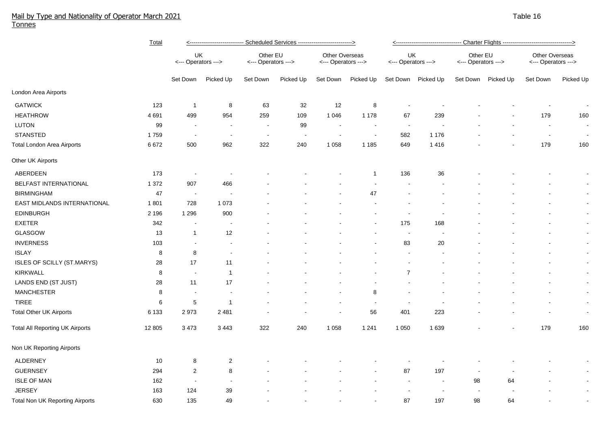## Mail by Type and Nationality of Operator March 2021 Table 16 and the state of the state of the state of the state of the state of the state of the state of the state 16 and 16 and 16 and 16 and 16 and 16 and 16 and 17 and Tonnes

|                                        | Total   | <---------------------------- Scheduled Services ---------------------------> |                          |                                 |           |                                              |                | <---------------------------------- Charter Flights -----------------------------------> |           |                                 |           |                                       |                |
|----------------------------------------|---------|-------------------------------------------------------------------------------|--------------------------|---------------------------------|-----------|----------------------------------------------|----------------|------------------------------------------------------------------------------------------|-----------|---------------------------------|-----------|---------------------------------------|----------------|
|                                        |         | UK<br><--- Operators --->                                                     |                          | Other EU<br><--- Operators ---> |           | <b>Other Overseas</b><br><--- Operators ---> |                | UK<br><--- Operators --->                                                                |           | Other EU<br><--- Operators ---> |           | Other Overseas<br><--- Operators ---> |                |
|                                        |         | Set Down                                                                      | Picked Up                | Set Down                        | Picked Up | Set Down                                     | Picked Up      | Set Down                                                                                 | Picked Up | Set Down                        | Picked Up | Set Down                              | Picked Up      |
| London Area Airports                   |         |                                                                               |                          |                                 |           |                                              |                |                                                                                          |           |                                 |           |                                       |                |
| <b>GATWICK</b>                         | 123     | $\overline{1}$                                                                | 8                        | 63                              | 32        | 12                                           | 8              |                                                                                          |           |                                 |           |                                       | $\sim$         |
| <b>HEATHROW</b>                        | 4 6 9 1 | 499                                                                           | 954                      | 259                             | 109       | 1 0 4 6                                      | 1 1 7 8        | 67                                                                                       | 239       |                                 |           | 179                                   | 160            |
| <b>LUTON</b>                           | 99      |                                                                               | $\blacksquare$           | $\overline{\phantom{a}}$        | 99        | $\overline{\phantom{a}}$                     |                | $\sim$                                                                                   |           |                                 |           | $\blacksquare$                        | $\blacksquare$ |
| <b>STANSTED</b>                        | 1759    | $\sim$                                                                        | $\overline{\phantom{a}}$ | $\blacksquare$                  | $\sim$    | $\overline{\phantom{a}}$                     | $\blacksquare$ | 582                                                                                      | 1 1 7 6   |                                 |           | $\blacksquare$                        | $\sim$         |
| <b>Total London Area Airports</b>      | 6672    | 500                                                                           | 962                      | 322                             | 240       | 1 0 5 8                                      | 1 1 8 5        | 649                                                                                      | 1416      |                                 |           | 179                                   | 160            |
| Other UK Airports                      |         |                                                                               |                          |                                 |           |                                              |                |                                                                                          |           |                                 |           |                                       |                |
| ABERDEEN                               | 173     |                                                                               | $\overline{\phantom{a}}$ |                                 |           |                                              | -1             | 136                                                                                      | 36        |                                 |           |                                       | $\sim$         |
| <b>BELFAST INTERNATIONAL</b>           | 1 3 7 2 | 907                                                                           | 466                      |                                 |           |                                              |                |                                                                                          |           |                                 |           |                                       | $\sim$         |
| <b>BIRMINGHAM</b>                      | 47      | $\sim$                                                                        |                          |                                 |           |                                              | 47             |                                                                                          |           |                                 |           |                                       | $\sim$         |
| EAST MIDLANDS INTERNATIONAL            | 1801    | 728                                                                           | 1 0 7 3                  |                                 |           |                                              |                |                                                                                          |           |                                 |           |                                       | $\sim$         |
| <b>EDINBURGH</b>                       | 2 1 9 6 | 1 2 9 6                                                                       | 900                      |                                 |           |                                              |                |                                                                                          |           |                                 |           |                                       | $\sim$         |
| <b>EXETER</b>                          | 342     |                                                                               |                          |                                 |           |                                              |                | 175                                                                                      | 168       |                                 |           |                                       | $\sim$         |
| GLASGOW                                | 13      | $\mathbf{1}$                                                                  | 12                       |                                 |           |                                              |                | $\sim$                                                                                   |           |                                 |           |                                       | $\sim$         |
| <b>INVERNESS</b>                       | 103     | $\sim$                                                                        | $\blacksquare$           |                                 |           |                                              |                | 83                                                                                       | 20        |                                 |           | ٠                                     | $\sim$         |
| <b>ISLAY</b>                           | 8       | 8                                                                             | $\blacksquare$           |                                 |           |                                              |                |                                                                                          |           |                                 |           | ٠                                     | $\sim$         |
| ISLES OF SCILLY (ST.MARYS)             | 28      | 17                                                                            | 11                       |                                 |           |                                              |                |                                                                                          |           |                                 |           |                                       | $\blacksquare$ |
| <b>KIRKWALL</b>                        | 8       | $\sim$                                                                        | $\overline{1}$           |                                 |           |                                              |                | $\overline{7}$                                                                           |           |                                 |           |                                       | $\blacksquare$ |
| LANDS END (ST JUST)                    | 28      | 11                                                                            | 17                       |                                 |           |                                              |                |                                                                                          |           |                                 |           |                                       | $\sim$         |
| <b>MANCHESTER</b>                      | 8       | $\sim$                                                                        | $\sim$                   |                                 |           |                                              | 8              |                                                                                          |           |                                 |           |                                       | $\sim$         |
| <b>TIREE</b>                           | 6       | 5                                                                             | $\overline{1}$           |                                 |           | $\blacksquare$                               | $\blacksquare$ | $\sim$                                                                                   |           |                                 |           |                                       | $\sim$         |
| <b>Total Other UK Airports</b>         | 6 1 3 3 | 2973                                                                          | 2 4 8 1                  |                                 |           | $\overline{\phantom{a}}$                     | 56             | 401                                                                                      | 223       |                                 |           |                                       | $\sim$         |
| <b>Total All Reporting UK Airports</b> | 12 805  | 3 4 7 3                                                                       | 3 4 4 3                  | 322                             | 240       | 1 0 5 8                                      | 1 2 4 1        | 1 0 5 0                                                                                  | 1639      |                                 |           | 179                                   | 160            |
| Non UK Reporting Airports              |         |                                                                               |                          |                                 |           |                                              |                |                                                                                          |           |                                 |           |                                       |                |
| <b>ALDERNEY</b>                        | 10      | 8                                                                             | $\overline{2}$           |                                 |           |                                              |                |                                                                                          |           |                                 |           |                                       | $\sim$         |
| <b>GUERNSEY</b>                        | 294     | $\overline{2}$                                                                | 8                        |                                 |           |                                              |                | 87                                                                                       | 197       |                                 |           |                                       | $\sim$         |
| <b>ISLE OF MAN</b>                     | 162     |                                                                               | $\sim$                   |                                 |           |                                              |                |                                                                                          | з.        | 98                              | 64        |                                       | $\sim$         |
| <b>JERSEY</b>                          | 163     | 124                                                                           | 39                       |                                 |           |                                              |                |                                                                                          |           |                                 |           |                                       | $\blacksquare$ |
| <b>Total Non UK Reporting Airports</b> | 630     | 135                                                                           | 49                       |                                 |           |                                              |                | 87                                                                                       | 197       | 98                              | 64        |                                       | $\sim$         |